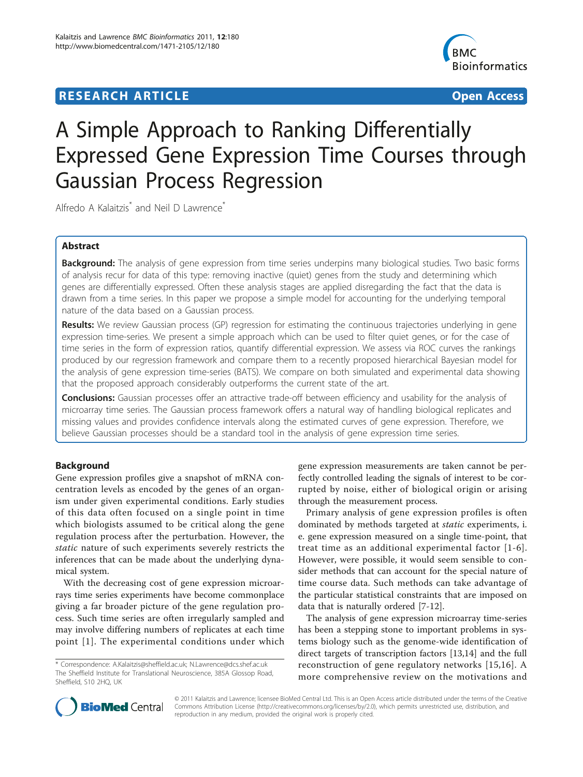## **RESEARCH ARTICLE Example 2014 CONSUMING ACCESS**



# A Simple Approach to Ranking Differentially Expressed Gene Expression Time Courses through Gaussian Process Regression

Alfredo A Kalaitzis<sup>\*</sup> and Neil D Lawrence<sup>\*</sup>

## Abstract

Background: The analysis of gene expression from time series underpins many biological studies. Two basic forms of analysis recur for data of this type: removing inactive (quiet) genes from the study and determining which genes are differentially expressed. Often these analysis stages are applied disregarding the fact that the data is drawn from a time series. In this paper we propose a simple model for accounting for the underlying temporal nature of the data based on a Gaussian process.

Results: We review Gaussian process (GP) regression for estimating the continuous trajectories underlying in gene expression time-series. We present a simple approach which can be used to filter quiet genes, or for the case of time series in the form of expression ratios, quantify differential expression. We assess via ROC curves the rankings produced by our regression framework and compare them to a recently proposed hierarchical Bayesian model for the analysis of gene expression time-series (BATS). We compare on both simulated and experimental data showing that the proposed approach considerably outperforms the current state of the art.

Conclusions: Gaussian processes offer an attractive trade-off between efficiency and usability for the analysis of microarray time series. The Gaussian process framework offers a natural way of handling biological replicates and missing values and provides confidence intervals along the estimated curves of gene expression. Therefore, we believe Gaussian processes should be a standard tool in the analysis of gene expression time series.

## Background

Gene expression profiles give a snapshot of mRNA concentration levels as encoded by the genes of an organism under given experimental conditions. Early studies of this data often focused on a single point in time which biologists assumed to be critical along the gene regulation process after the perturbation. However, the static nature of such experiments severely restricts the inferences that can be made about the underlying dynamical system.

With the decreasing cost of gene expression microarrays time series experiments have become commonplace giving a far broader picture of the gene regulation process. Such time series are often irregularly sampled and may involve differing numbers of replicates at each time point [[1\]](#page-11-0). The experimental conditions under which

gene expression measurements are taken cannot be perfectly controlled leading the signals of interest to be corrupted by noise, either of biological origin or arising through the measurement process.

Primary analysis of gene expression profiles is often dominated by methods targeted at static experiments, i. e. gene expression measured on a single time-point, that treat time as an additional experimental factor [[1-6\]](#page-11-0). However, were possible, it would seem sensible to consider methods that can account for the special nature of time course data. Such methods can take advantage of the particular statistical constraints that are imposed on data that is naturally ordered [[7-12\]](#page-11-0).

The analysis of gene expression microarray time-series has been a stepping stone to important problems in systems biology such as the genome-wide identification of direct targets of transcription factors [[13](#page-11-0),[14](#page-11-0)] and the full reconstruction of gene regulatory networks [\[15,16](#page-11-0)]. A more comprehensive review on the motivations and



© 2011 Kalaitzis and Lawrence; licensee BioMed Central Ltd. This is an Open Access article distributed under the terms of the Creative Commons Attribution License [\(http://creativecommons.org/licenses/by/2.0](http://creativecommons.org/licenses/by/2.0)), which permits unrestricted use, distribution, and reproduction in any medium, provided the original work is properly cited.

<sup>\*</sup> Correspondence: [A.Kalaitzis@sheffield.ac.uk](mailto:A.Kalaitzis@sheffield.ac.uk); [N.Lawrence@dcs.shef.ac.uk](mailto:N.Lawrence@dcs.shef.ac.uk) The Sheffield Institute for Translational Neuroscience, 385A Glossop Road, Sheffield, S10 2HQ, UK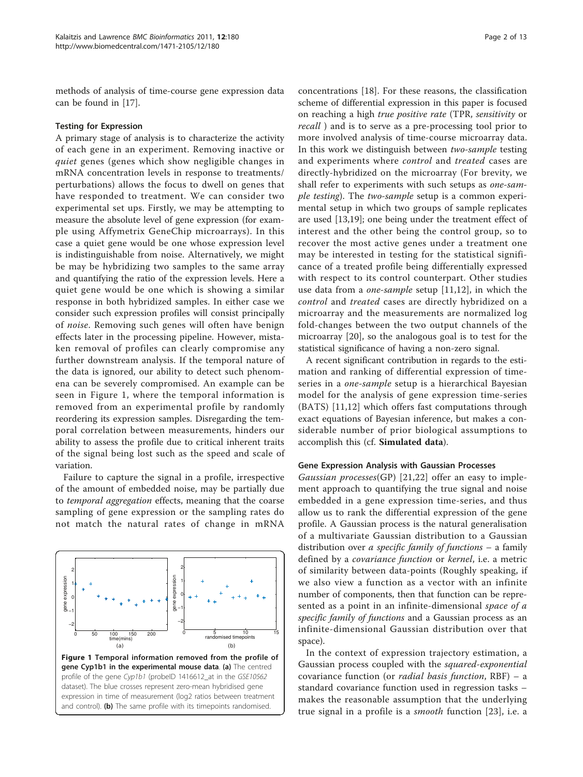methods of analysis of time-course gene expression data can be found in [\[17\]](#page-11-0).

## Testing for Expression

A primary stage of analysis is to characterize the activity of each gene in an experiment. Removing inactive or quiet genes (genes which show negligible changes in mRNA concentration levels in response to treatments/ perturbations) allows the focus to dwell on genes that have responded to treatment. We can consider two experimental set ups. Firstly, we may be attempting to measure the absolute level of gene expression (for example using Affymetrix GeneChip microarrays). In this case a quiet gene would be one whose expression level is indistinguishable from noise. Alternatively, we might be may be hybridizing two samples to the same array and quantifying the ratio of the expression levels. Here a quiet gene would be one which is showing a similar response in both hybridized samples. In either case we consider such expression profiles will consist principally of noise. Removing such genes will often have benign effects later in the processing pipeline. However, mistaken removal of profiles can clearly compromise any further downstream analysis. If the temporal nature of the data is ignored, our ability to detect such phenomena can be severely compromised. An example can be seen in Figure 1, where the temporal information is removed from an experimental profile by randomly reordering its expression samples. Disregarding the temporal correlation between measurements, hinders our ability to assess the profile due to critical inherent traits of the signal being lost such as the speed and scale of variation.

Failure to capture the signal in a profile, irrespective of the amount of embedded noise, may be partially due to temporal aggregation effects, meaning that the coarse sampling of gene expression or the sampling rates do not match the natural rates of change in mRNA



concentrations [\[18](#page-11-0)]. For these reasons, the classification scheme of differential expression in this paper is focused on reaching a high true positive rate (TPR, sensitivity or recall ) and is to serve as a pre-processing tool prior to more involved analysis of time-course microarray data. In this work we distinguish between two-sample testing and experiments where control and treated cases are directly-hybridized on the microarray (For brevity, we shall refer to experiments with such setups as one-sample testing). The two-sample setup is a common experimental setup in which two groups of sample replicates are used [\[13,19](#page-11-0)]; one being under the treatment effect of interest and the other being the control group, so to recover the most active genes under a treatment one may be interested in testing for the statistical significance of a treated profile being differentially expressed with respect to its control counterpart. Other studies use data from a one-sample setup [\[11](#page-11-0),[12\]](#page-11-0), in which the control and treated cases are directly hybridized on a microarray and the measurements are normalized log fold-changes between the two output channels of the microarray [[20\]](#page-11-0), so the analogous goal is to test for the statistical significance of having a non-zero signal.

A recent significant contribution in regards to the estimation and ranking of differential expression of timeseries in a one-sample setup is a hierarchical Bayesian model for the analysis of gene expression time-series (BATS) [[11,12\]](#page-11-0) which offers fast computations through exact equations of Bayesian inference, but makes a considerable number of prior biological assumptions to accomplish this (cf. Simulated data).

## Gene Expression Analysis with Gaussian Processes

Gaussian processes(GP) [[21,22](#page-11-0)] offer an easy to implement approach to quantifying the true signal and noise embedded in a gene expression time-series, and thus allow us to rank the differential expression of the gene profile. A Gaussian process is the natural generalisation of a multivariate Gaussian distribution to a Gaussian distribution over a specific family of functions – a family defined by a covariance function or kernel, i.e. a metric of similarity between data-points (Roughly speaking, if we also view a function as a vector with an infinite number of components, then that function can be represented as a point in an infinite-dimensional space of a specific family of functions and a Gaussian process as an infinite-dimensional Gaussian distribution over that space).

In the context of expression trajectory estimation, a Gaussian process coupled with the squared-exponential covariance function (or radial basis function, RBF) – a standard covariance function used in regression tasks – makes the reasonable assumption that the underlying true signal in a profile is a smooth function [\[23](#page-11-0)], i.e. a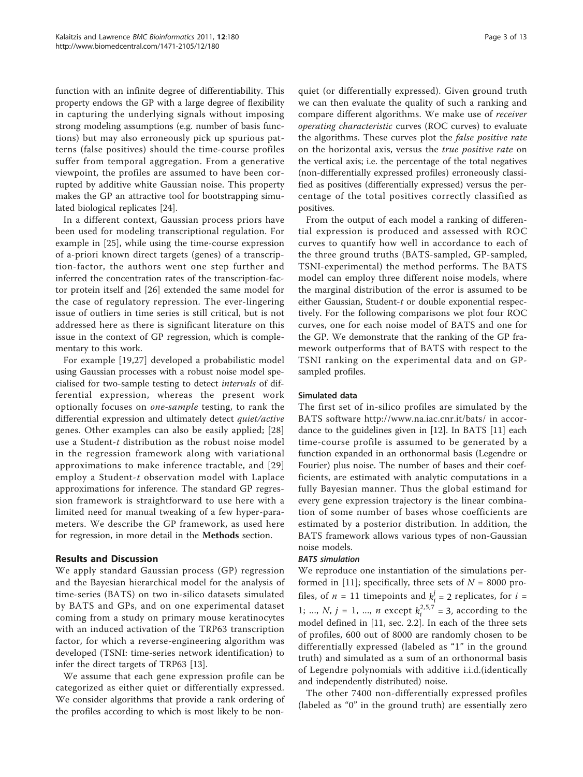function with an infinite degree of differentiability. This property endows the GP with a large degree of flexibility in capturing the underlying signals without imposing strong modeling assumptions (e.g. number of basis functions) but may also erroneously pick up spurious patterns (false positives) should the time-course profiles suffer from temporal aggregation. From a generative viewpoint, the profiles are assumed to have been corrupted by additive white Gaussian noise. This property makes the GP an attractive tool for bootstrapping simulated biological replicates [\[24](#page-11-0)].

In a different context, Gaussian process priors have been used for modeling transcriptional regulation. For example in [[25\]](#page-11-0), while using the time-course expression of a-priori known direct targets (genes) of a transcription-factor, the authors went one step further and inferred the concentration rates of the transcription-factor protein itself and [[26\]](#page-11-0) extended the same model for the case of regulatory repression. The ever-lingering issue of outliers in time series is still critical, but is not addressed here as there is significant literature on this issue in the context of GP regression, which is complementary to this work.

For example [[19,27](#page-11-0)] developed a probabilistic model using Gaussian processes with a robust noise model specialised for two-sample testing to detect intervals of differential expression, whereas the present work optionally focuses on one-sample testing, to rank the differential expression and ultimately detect quiet/active genes. Other examples can also be easily applied; [[28](#page-12-0)] use a Student-t distribution as the robust noise model in the regression framework along with variational approximations to make inference tractable, and [[29](#page-12-0)] employ a Student-t observation model with Laplace approximations for inference. The standard GP regression framework is straightforward to use here with a limited need for manual tweaking of a few hyper-parameters. We describe the GP framework, as used here for regression, in more detail in the Methods section.

## Results and Discussion

We apply standard Gaussian process (GP) regression and the Bayesian hierarchical model for the analysis of time-series (BATS) on two in-silico datasets simulated by BATS and GPs, and on one experimental dataset coming from a study on primary mouse keratinocytes with an induced activation of the TRP63 transcription factor, for which a reverse-engineering algorithm was developed (TSNI: time-series network identification) to infer the direct targets of TRP63 [\[13\]](#page-11-0).

We assume that each gene expression profile can be categorized as either quiet or differentially expressed. We consider algorithms that provide a rank ordering of the profiles according to which is most likely to be non-

quiet (or differentially expressed). Given ground truth we can then evaluate the quality of such a ranking and compare different algorithms. We make use of receiver operating characteristic curves (ROC curves) to evaluate the algorithms. These curves plot the false positive rate on the horizontal axis, versus the true positive rate on the vertical axis; i.e. the percentage of the total negatives (non-differentially expressed profiles) erroneously classified as positives (differentially expressed) versus the percentage of the total positives correctly classified as positives.

From the output of each model a ranking of differential expression is produced and assessed with ROC curves to quantify how well in accordance to each of the three ground truths (BATS-sampled, GP-sampled, TSNI-experimental) the method performs. The BATS model can employ three different noise models, where the marginal distribution of the error is assumed to be either Gaussian, Student-t or double exponential respectively. For the following comparisons we plot four ROC curves, one for each noise model of BATS and one for the GP. We demonstrate that the ranking of the GP framework outperforms that of BATS with respect to the TSNI ranking on the experimental data and on GPsampled profiles.

## Simulated data

The first set of in-silico profiles are simulated by the BATS software<http://www.na.iac.cnr.it/bats/> in accordance to the guidelines given in [[12\]](#page-11-0). In BATS [[11\]](#page-11-0) each time-course profile is assumed to be generated by a function expanded in an orthonormal basis (Legendre or Fourier) plus noise. The number of bases and their coefficients, are estimated with analytic computations in a fully Bayesian manner. Thus the global estimand for every gene expression trajectory is the linear combination of some number of bases whose coefficients are estimated by a posterior distribution. In addition, the BATS framework allows various types of non-Gaussian noise models.

## BATS simulation

We reproduce one instantiation of the simulations per-formed in [[11\]](#page-11-0); specifically, three sets of  $N = 8000$  profiles, of  $n = 11$  timepoints and  $k_i^j = 2$  replicates, for  $i =$ 1; ...,  $N$ ,  $j = 1$ , ...,  $n$  except  $k_i^{2,5,7} = 3$ , according to the model defined in [11, sec. 2.2]. In each of the three sets of profiles, 600 out of 8000 are randomly chosen to be differentially expressed (labeled as "1" in the ground truth) and simulated as a sum of an orthonormal basis of Legendre polynomials with additive i.i.d.(identically and independently distributed) noise.

The other 7400 non-differentially expressed profiles (labeled as "0" in the ground truth) are essentially zero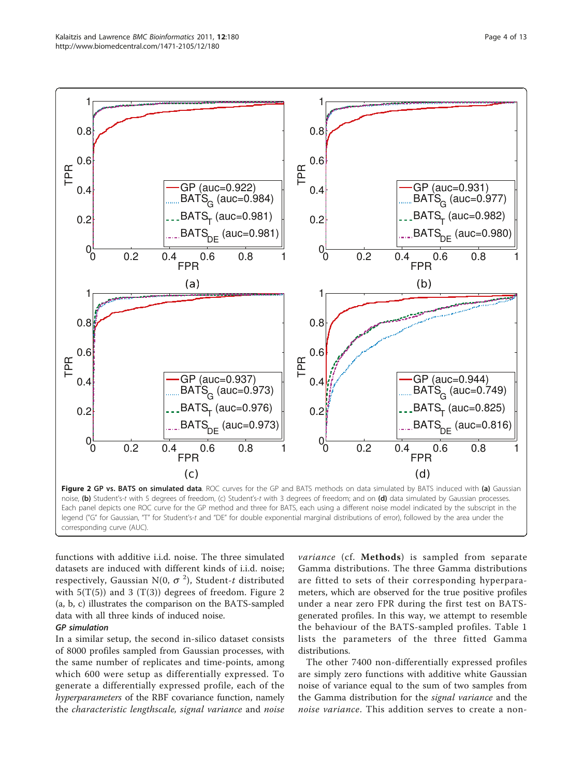<span id="page-3-0"></span>

corresponding curve (AUC).

functions with additive i.i.d. noise. The three simulated datasets are induced with different kinds of i.i.d. noise; respectively, Gaussian N(0,  $\sigma$  <sup>2</sup>), Student- $t$  distributed with  $5(T(5))$  and 3 (T(3)) degrees of freedom. Figure 2 (a, b, c) illustrates the comparison on the BATS-sampled data with all three kinds of induced noise.

## GP simulation

In a similar setup, the second in-silico dataset consists of 8000 profiles sampled from Gaussian processes, with the same number of replicates and time-points, among which 600 were setup as differentially expressed. To generate a differentially expressed profile, each of the hyperparameters of the RBF covariance function, namely the characteristic lengthscale, signal variance and noise

variance (cf. Methods) is sampled from separate Gamma distributions. The three Gamma distributions are fitted to sets of their corresponding hyperparameters, which are observed for the true positive profiles under a near zero FPR during the first test on BATSgenerated profiles. In this way, we attempt to resemble the behaviour of the BATS-sampled profiles. Table [1](#page-4-0) lists the parameters of the three fitted Gamma distributions.

The other 7400 non-differentially expressed profiles are simply zero functions with additive white Gaussian noise of variance equal to the sum of two samples from the Gamma distribution for the *signal variance* and the noise variance. This addition serves to create a non-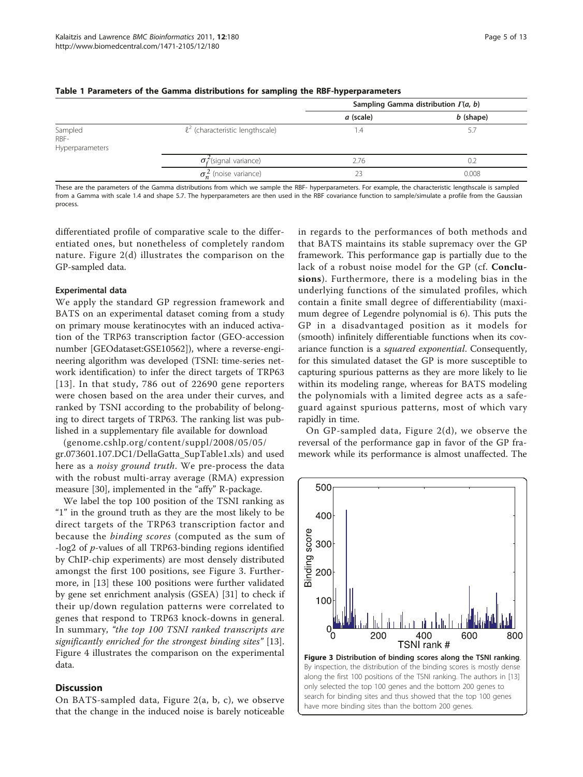|                                    |                                       | Sampling Gamma distribution $\Gamma(a, b)$ |           |
|------------------------------------|---------------------------------------|--------------------------------------------|-----------|
|                                    |                                       | a (scale)                                  | b (shape) |
| Sampled<br>RBF-<br>Hyperparameters | $\ell^2$ (characteristic lengthscale) | . 4                                        |           |
|                                    | $\sigma_f^2$ (signal variance)        | 2.76                                       | 0.2       |
|                                    | $\sigma_n^2$ (noise variance)         | 23                                         | 0.008     |

#### <span id="page-4-0"></span>Table 1 Parameters of the Gamma distributions for sampling the RBF-hyperparameters

These are the parameters of the Gamma distributions from which we sample the RBF- hyperparameters. For example, the characteristic lengthscale is sampled from a Gamma with scale 1.4 and shape 5.7. The hyperparameters are then used in the RBF covariance function to sample/simulate a profile from the Gaussian process.

differentiated profile of comparative scale to the differentiated ones, but nonetheless of completely random nature. Figure [2\(d\)](#page-3-0) illustrates the comparison on the GP-sampled data.

## Experimental data

We apply the standard GP regression framework and BATS on an experimental dataset coming from a study on primary mouse keratinocytes with an induced activation of the TRP63 transcription factor (GEO-accession number [GEOdataset:GSE10562]), where a reverse-engineering algorithm was developed (TSNI: time-series network identification) to infer the direct targets of TRP63 [[13\]](#page-11-0). In that study, 786 out of 22690 gene reporters were chosen based on the area under their curves, and ranked by TSNI according to the probability of belonging to direct targets of TRP63. The ranking list was published in a supplementary file available for download

(genome.cshlp.org/content/suppl/2008/05/05/ gr.073601.107.DC1/DellaGatta\_SupTable1.xls) and used here as a *noisy ground truth*. We pre-process the data with the robust multi-array average (RMA) expression measure [\[30\]](#page-12-0), implemented in the "affy" R-package.

We label the top 100 position of the TSNI ranking as "1" in the ground truth as they are the most likely to be direct targets of the TRP63 transcription factor and because the binding scores (computed as the sum of -log2 of p-values of all TRP63-binding regions identified by ChIP-chip experiments) are most densely distributed amongst the first 100 positions, see Figure 3. Furthermore, in [[13](#page-11-0)] these 100 positions were further validated by gene set enrichment analysis (GSEA) [\[31\]](#page-12-0) to check if their up/down regulation patterns were correlated to genes that respond to TRP63 knock-downs in general. In summary, "the top 100 TSNI ranked transcripts are significantly enriched for the strongest binding sites" [\[13](#page-11-0)]. Figure [4](#page-5-0) illustrates the comparison on the experimental data.

## Discussion

On BATS-sampled data, Figure [2\(a, b, c\),](#page-3-0) we observe that the change in the induced noise is barely noticeable

in regards to the performances of both methods and that BATS maintains its stable supremacy over the GP framework. This performance gap is partially due to the lack of a robust noise model for the GP (cf. Conclusions). Furthermore, there is a modeling bias in the underlying functions of the simulated profiles, which contain a finite small degree of differentiability (maximum degree of Legendre polynomial is 6). This puts the GP in a disadvantaged position as it models for (smooth) infinitely differentiable functions when its covariance function is a squared exponential. Consequently, for this simulated dataset the GP is more susceptible to capturing spurious patterns as they are more likely to lie within its modeling range, whereas for BATS modeling the polynomials with a limited degree acts as a safeguard against spurious patterns, most of which vary rapidly in time.

On GP-sampled data, Figure [2\(d\),](#page-3-0) we observe the reversal of the performance gap in favor of the GP framework while its performance is almost unaffected. The

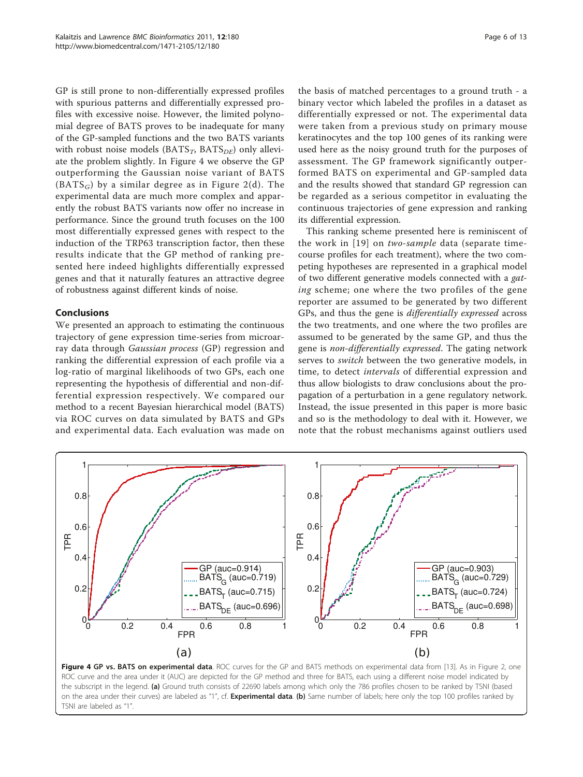<span id="page-5-0"></span>GP is still prone to non-differentially expressed profiles with spurious patterns and differentially expressed profiles with excessive noise. However, the limited polynomial degree of BATS proves to be inadequate for many of the GP-sampled functions and the two BATS variants with robust noise models (BATS<sub>T</sub>, BATS<sub>DE</sub>) only alleviate the problem slightly. In Figure 4 we observe the GP outperforming the Gaussian noise variant of BATS  $(BATS_G)$  by a similar degree as in Figure [2\(d\).](#page-3-0) The experimental data are much more complex and apparently the robust BATS variants now offer no increase in performance. Since the ground truth focuses on the 100 most differentially expressed genes with respect to the induction of the TRP63 transcription factor, then these results indicate that the GP method of ranking presented here indeed highlights differentially expressed genes and that it naturally features an attractive degree of robustness against different kinds of noise.

## Conclusions

We presented an approach to estimating the continuous trajectory of gene expression time-series from microarray data through Gaussian process (GP) regression and ranking the differential expression of each profile via a log-ratio of marginal likelihoods of two GPs, each one representing the hypothesis of differential and non-differential expression respectively. We compared our method to a recent Bayesian hierarchical model (BATS) via ROC curves on data simulated by BATS and GPs and experimental data. Each evaluation was made on

the basis of matched percentages to a ground truth - a binary vector which labeled the profiles in a dataset as differentially expressed or not. The experimental data were taken from a previous study on primary mouse keratinocytes and the top 100 genes of its ranking were used here as the noisy ground truth for the purposes of assessment. The GP framework significantly outperformed BATS on experimental and GP-sampled data and the results showed that standard GP regression can be regarded as a serious competitor in evaluating the continuous trajectories of gene expression and ranking its differential expression.

This ranking scheme presented here is reminiscent of the work in [[19](#page-11-0)] on two-sample data (separate timecourse profiles for each treatment), where the two competing hypotheses are represented in a graphical model of two different generative models connected with a gating scheme; one where the two profiles of the gene reporter are assumed to be generated by two different GPs, and thus the gene is differentially expressed across the two treatments, and one where the two profiles are assumed to be generated by the same GP, and thus the gene is non-differentially expressed. The gating network serves to *switch* between the two generative models, in time, to detect *intervals* of differential expression and thus allow biologists to draw conclusions about the propagation of a perturbation in a gene regulatory network. Instead, the issue presented in this paper is more basic and so is the methodology to deal with it. However, we note that the robust mechanisms against outliers used



ROC curve and the area under it (AUC) are depicted for the GP method and three for BATS, each using a different noise model indicated by the subscript in the legend. (a) Ground truth consists of 22690 labels among which only the 786 profiles chosen to be ranked by TSNI (based on the area under their curves) are labeled as "1", cf. Experimental data. (b) Same number of labels; here only the top 100 profiles ranked by TSNI are labeled as "1".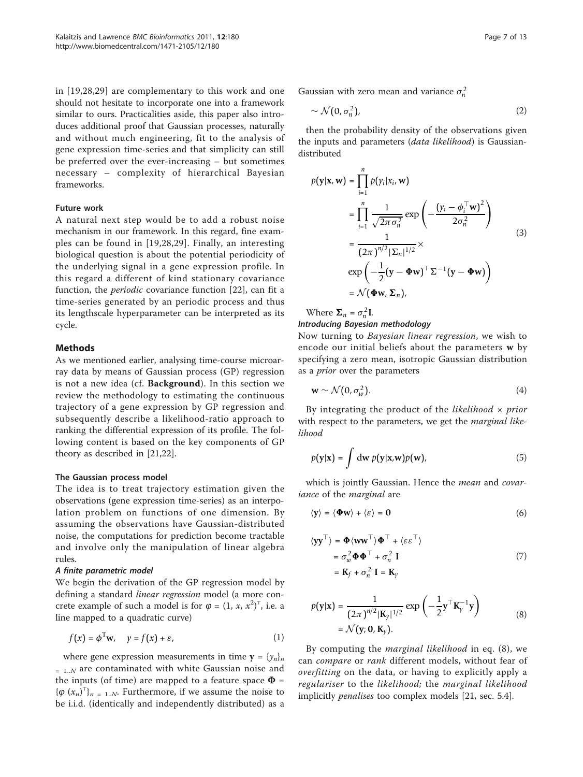in [[19](#page-11-0)[,28,29](#page-12-0)] are complementary to this work and one should not hesitate to incorporate one into a framework similar to ours. Practicalities aside, this paper also introduces additional proof that Gaussian processes, naturally and without much engineering, fit to the analysis of gene expression time-series and that simplicity can still be preferred over the ever-increasing – but sometimes necessary – complexity of hierarchical Bayesian frameworks.

## Future work

A natural next step would be to add a robust noise mechanism in our framework. In this regard, fine examples can be found in [[19,](#page-11-0)[28](#page-12-0),[29\]](#page-12-0). Finally, an interesting biological question is about the potential periodicity of the underlying signal in a gene expression profile. In this regard a different of kind stationary covariance function, the periodic covariance function [[22\]](#page-11-0), can fit a time-series generated by an periodic process and thus its lengthscale hyperparameter can be interpreted as its cycle.

## Methods

As we mentioned earlier, analysing time-course microarray data by means of Gaussian process (GP) regression is not a new idea (cf. Background). In this section we review the methodology to estimating the continuous trajectory of a gene expression by GP regression and subsequently describe a likelihood-ratio approach to ranking the differential expression of its profile. The following content is based on the key components of GP theory as described in [\[21,22](#page-11-0)].

## The Gaussian process model

The idea is to treat trajectory estimation given the observations (gene expression time-series) as an interpolation problem on functions of one dimension. By assuming the observations have Gaussian-distributed noise, the computations for prediction become tractable and involve only the manipulation of linear algebra rules.

#### A finite parametric model

We begin the derivation of the GP regression model by defining a standard linear regression model (a more concrete example of such a model is for  $\varphi = (1, x, x^2)^{\top}$ , i.e. a line mapped to a quadratic curve)

$$
f(x) = \phi^{\mathrm{T}} \mathbf{w}, \quad \gamma = f(x) + \varepsilon, \tag{1}
$$

where gene expression measurements in time  $y = \{y_n\}_n$  $= 1.0$  are contaminated with white Gaussian noise and the inputs (of time) are mapped to a feature space  $\Phi$  =  $\{\varphi(x_n)^\top\}_{n=1..N}$ . Furthermore, if we assume the noise to be i.i.d. (identically and independently distributed) as a Gaussian with zero mean and variance  $\sigma_n^2$ 

$$
\sim \mathcal{N}(0, \sigma_n^2),\tag{2}
$$

then the probability density of the observations given the inputs and parameters (data likelihood) is Gaussiandistributed

$$
p(\mathbf{y}|\mathbf{x}, \mathbf{w}) = \prod_{i=1}^{n} p(y_i|x_i, \mathbf{w})
$$
  
\n
$$
= \prod_{i=1}^{n} \frac{1}{\sqrt{2\pi \sigma_n^2}} \exp\left(-\frac{(y_i - \phi_i^{\top} \mathbf{w})^2}{2\sigma_n^2}\right)
$$
  
\n
$$
= \frac{1}{(2\pi)^{n/2} |\Sigma_n|^{1/2}} \times \exp\left(-\frac{1}{2} (\mathbf{y} - \mathbf{\Phi}\mathbf{w})^{\top} \Sigma^{-1} (\mathbf{y} - \mathbf{\Phi}\mathbf{w})\right)
$$
  
\n
$$
= \mathcal{N}(\mathbf{\Phi}\mathbf{w}, \Sigma_n),
$$
\n(3)

Where  $\Sigma_n = \sigma_n^2 I$ .

Introducing Bayesian methodology

Now turning to Bayesian linear regression, we wish to encode our initial beliefs about the parameters w by specifying a zero mean, isotropic Gaussian distribution as a prior over the parameters

$$
\mathbf{w} \sim \mathcal{N}(0, \sigma_w^2). \tag{4}
$$

By integrating the product of the *likelihood*  $\times$  *prior* with respect to the parameters, we get the *marginal like*lihood

$$
p(\mathbf{y}|\mathbf{x}) = \int \mathrm{d}\mathbf{w} \ p(\mathbf{y}|\mathbf{x}, \mathbf{w}) p(\mathbf{w}). \tag{5}
$$

which is jointly Gaussian. Hence the *mean* and *covar*iance of the marginal are

$$
\langle y \rangle = \langle \Phi w \rangle + \langle \varepsilon \rangle = 0 \tag{6}
$$

$$
\langle yy^{\top} \rangle = \Phi \langle ww^{\top} \rangle \Phi^{\top} + \langle \varepsilon \varepsilon^{\top} \rangle
$$
  
=  $\sigma_w^2 \Phi \Phi^{\top} + \sigma_n^2 I$  (7)  
=  $K_f + \sigma_n^2 I = K_y$ 

$$
p(\mathbf{y}|\mathbf{x}) = \frac{1}{(2\pi)^{n/2} |\mathbf{K}_y|^{1/2}} \exp\left(-\frac{1}{2}\mathbf{y}^\top \mathbf{K}_y^{-1} \mathbf{y}\right) = \mathcal{N}(\mathbf{y}; \mathbf{0}, \mathbf{K}_y).
$$
 (8)

By computing the *marginal likelihood* in eq. (8), we can compare or rank different models, without fear of overfitting on the data, or having to explicitly apply a regulariser to the likelihood; the marginal likelihood implicitly penalises too complex models [21, sec. 5.4].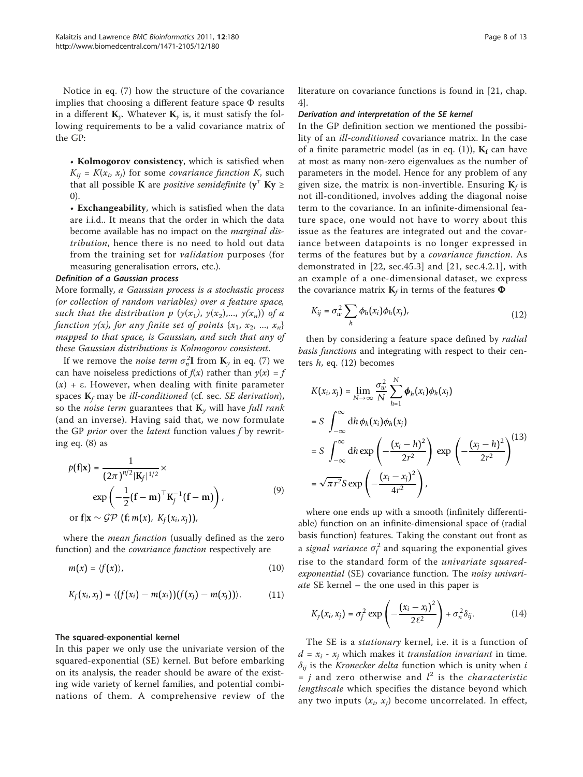Notice in eq. (7) how the structure of the covariance implies that choosing a different feature space  $\Phi$  results in a different  $K_{\nu}$ . Whatever  $K_{\nu}$  is, it must satisfy the following requirements to be a valid covariance matrix of the GP:

• Kolmogorov consistency, which is satisfied when  $K_{ii} = K(x_i, x_i)$  for some *covariance function K*, such that all possible K are *positive semidefinite* ( $y^{\top}$  Ky ≥ 0).

• Exchangeability, which is satisfied when the data are i.i.d.. It means that the order in which the data become available has no impact on the *marginal dis*tribution, hence there is no need to hold out data from the training set for validation purposes (for measuring generalisation errors, etc.).

#### Definition of a Gaussian process

More formally, a Gaussian process is a stochastic process (or collection of random variables) over a feature space, such that the distribution p  $(y(x_1), y(x_2),..., y(x_n))$  of a function  $y(x)$ , for any finite set of points  $\{x_1, x_2, ..., x_n\}$ mapped to that space, is Gaussian, and such that any of these Gaussian distributions is Kolmogorov consistent.

If we remove the *noise term*  $\sigma_n^2 I$  from  $K_y$  in eq. (7) we can have noiseless predictions of  $f(x)$  rather than  $y(x) = f(x)$  $(x) + \varepsilon$ . However, when dealing with finite parameter spaces  $K_f$  may be *ill-conditioned* (cf. sec. SE derivation), so the noise term guarantees that  $K_y$  will have full rank (and an inverse). Having said that, we now formulate the GP *prior* over the *latent* function values  $f$  by rewriting eq. (8) as

$$
p(\mathbf{f}|\mathbf{x}) = \frac{1}{(2\pi)^{n/2} |\mathbf{K}_f|^{1/2}} \times
$$
  
\n
$$
\exp\left(-\frac{1}{2}(\mathbf{f} - \mathbf{m})^\top \mathbf{K}_f^{-1}(\mathbf{f} - \mathbf{m})\right),
$$
  
\nor  $\mathbf{f}|\mathbf{x} \sim \mathcal{GP}(\mathbf{f}; m(\mathbf{x}), K_f(x_i, x_j)),$  (9)

where the *mean function* (usually defined as the zero function) and the covariance function respectively are

$$
m(x) = \langle f(x) \rangle, \tag{10}
$$

$$
K_f(x_i, x_j) = \langle (f(x_i) - m(x_i))(f(x_j) - m(x_j)) \rangle.
$$
 (11)

#### The squared-exponential kernel

In this paper we only use the univariate version of the squared-exponential (SE) kernel. But before embarking on its analysis, the reader should be aware of the existing wide variety of kernel families, and potential combinations of them. A comprehensive review of the literature on covariance functions is found in [21, chap. 4].

## Derivation and interpretation of the SE kernel

In the GP definition section we mentioned the possibility of an ill-conditioned covariance matrix. In the case of a finite parametric model (as in eq. (1)),  $K_f$  can have at most as many non-zero eigenvalues as the number of parameters in the model. Hence for any problem of any given size, the matrix is non-invertible. Ensuring  $K_f$  is not ill-conditioned, involves adding the diagonal noise term to the covariance. In an infinite-dimensional feature space, one would not have to worry about this issue as the features are integrated out and the covariance between datapoints is no longer expressed in terms of the features but by a covariance function. As demonstrated in [22, sec.45.3] and [21, sec.4.2.1], with an example of a one-dimensional dataset, we express the covariance matrix  $K_f$  in terms of the features  $\Phi$ 

$$
K_{ij} = \sigma_w^2 \sum_h \phi_h(x_i) \phi_h(x_j), \qquad (12)
$$

then by considering a feature space defined by *radial* basis functions and integrating with respect to their centers  $h$ , eq. (12) becomes

$$
K(x_i, x_j) = \lim_{N \to \infty} \frac{\sigma_w^2}{N} \sum_{h=1}^N \phi_h(x_i) \phi_h(x_j)
$$
  
=  $S \int_{-\infty}^{\infty} dh \phi_h(x_i) \phi_h(x_j)$   
=  $S \int_{-\infty}^{\infty} dh \exp\left(-\frac{(x_i - h)^2}{2r^2}\right) \exp\left(-\frac{(x_j - h)^2}{2r^2}\right)^{(13)}$   
=  $\sqrt{\pi r^2} S \exp\left(-\frac{(x_i - x_j)^2}{4r^2}\right),$ 

where one ends up with a smooth (infinitely differentiable) function on an infinite-dimensional space of (radial basis function) features. Taking the constant out front as a *signal variance*  $\sigma_f^2$  and squaring the exponential gives rise to the standard form of the univariate squaredexponential (SE) covariance function. The noisy univariate SE kernel – the one used in this paper is

$$
K_{\gamma}(x_i, x_j) = \sigma_f^2 \exp\left(-\frac{(x_i - x_j)^2}{2\ell^2}\right) + \sigma_n^2 \delta_{ij}.
$$
 (14)

The SE is a stationary kernel, i.e. it is a function of  $d = x_i - x_j$  which makes it *translation invariant* in time.  $\delta_{ii}$  is the *Kronecker delta* function which is unity when *i*  $=$  j and zero otherwise and  $l^2$  is the *characteristic* lengthscale which specifies the distance beyond which any two inputs  $(x_i, x_j)$  become uncorrelated. In effect,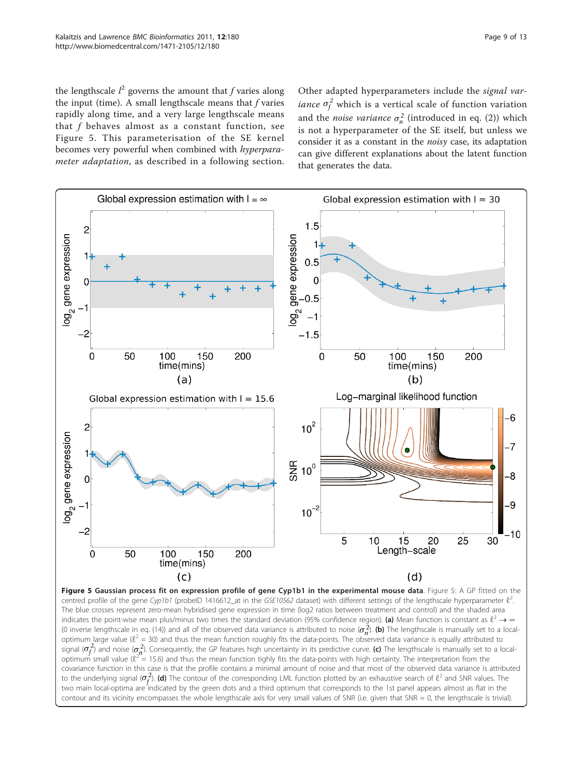<span id="page-8-0"></span>the lengthscale  $l^2$  governs the amount that  $f$  varies along the input (time). A small lengthscale means that  $f$  varies rapidly along time, and a very large lengthscale means that f behaves almost as a constant function, see Figure 5. This parameterisation of the SE kernel becomes very powerful when combined with hyperparameter adaptation, as described in a following section. Other adapted hyperparameters include the *signal variance*  $\sigma_f^2$  which is a vertical scale of function variation and the *noise variance*  $\sigma_n^2$  (introduced in eq. (2)) which is not a hyperparameter of the SE itself, but unless we consider it as a constant in the noisy case, its adaptation can give different explanations about the latent function that generates the data.



centred profile of the gene Cyp1b1 (probeID 1416612\_at in the GSE10562 dataset) with different settings of the lengthscale hyperparameter  $l^2$ . The blue crosses represent zero-mean hybridised gene expression in time (log2 ratios between treatment and control) and the shaded area indicates the point-wise mean plus/minus two times the standard deviation (95% confidence region). (a) Mean function is constant as  $\ell^2 \to \infty$ (0 inverse lengthscale in eq. (14)) and all of the observed data variance is attributed to noise  $(\sigma_n^2)$ . (b) The lengthscale is manually set to a localoptimum large value ( $l^2$  = 30) and thus the mean function roughly fits the data-points. The observed data variance is equally attributed to signal  $(\sigma_f^2)$  and noise  $(\sigma_i^2)$ . Consequently, the GP features high uncertainty in its predictive curve. (c) The lengthscale is manually set to a localoptimum small value ( $l^2 = 15.6$ ) and thus the mean function tighly fits the data-points with high certainty. The interpretation from the covariance function in this case is that the profile contains a minimal amount of noise and that most of the observed data variance is attributed to the underlying signal ( $\sigma_f^2$ ). (**d)** The contour of the corresponding LML function plotted by an exhaustive search of  $\ell^2$  and SNR values. The two main local-optima are indicated by the green dots and a third optimum that corresponds to the 1st panel appears almost as flat in the contour and its vicinity encompasses the whole lengthscale axis for very small values of SNR (i.e. given that SNR ≈ 0, the lengthscale is trivial).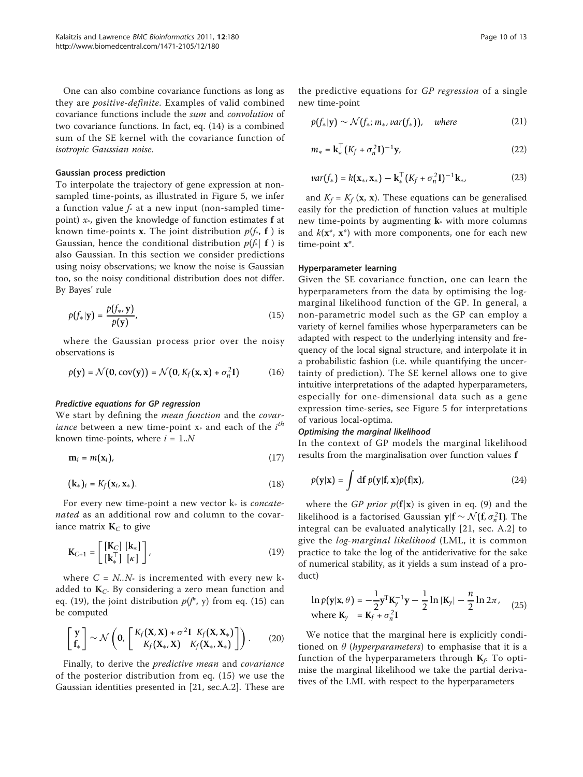One can also combine covariance functions as long as they are positive-definite. Examples of valid combined covariance functions include the sum and convolution of two covariance functions. In fact, eq. (14) is a combined sum of the SE kernel with the covariance function of isotropic Gaussian noise.

#### Gaussian process prediction

To interpolate the trajectory of gene expression at nonsampled time-points, as illustrated in Figure [5,](#page-8-0) we infer a function value  $f_*$  at a new input (non-sampled timepoint)  $x<sub>*</sub>$ , given the knowledge of function estimates  $f$  at known time-points **x**. The joint distribution  $p(f_*, \mathbf{f})$  is Gaussian, hence the conditional distribution  $p(f_*|f)$  is also Gaussian. In this section we consider predictions using noisy observations; we know the noise is Gaussian too, so the noisy conditional distribution does not differ. By Bayes' rule

$$
p(f_*|y) = \frac{p(f_*, y)}{p(y)},
$$
\n(15)

where the Gaussian process prior over the noisy observations is

$$
p(\mathbf{y}) = \mathcal{N}(\mathbf{0}, \text{cov}(\mathbf{y})) = \mathcal{N}(\mathbf{0}, K_f(\mathbf{x}, \mathbf{x}) + \sigma_n^2 \mathbf{I})
$$
 (16)

#### Predictive equations for GP regression

We start by defining the *mean function* and the *covariance* between a new time-point  $x^*$  and each of the  $i^{th}$ known time-points, where  $i = 1..N$ 

$$
\mathbf{m}_i = m(\mathbf{x}_i),\tag{17}
$$

$$
(\mathbf{k}_{*})_{i} = K_{f}(\mathbf{x}_{i}, \mathbf{x}_{*}).
$$
\n(18)

For every new time-point a new vector  $k*$  is *concate*nated as an additional row and column to the covariance matrix  $K_C$  to give

$$
\mathbf{K}_{C+1} = \begin{bmatrix} [\mathbf{K}_C] [\mathbf{k}_*] \\ [\mathbf{k}_*^{\top}] [\mathbf{k}] \end{bmatrix},
$$
(19)

where  $C = N \cdot N^*$  is incremented with every new  $k^*$ added to  $K_C$ . By considering a zero mean function and eq. (19), the joint distribution  $p(f^*)$ , y) from eq. (15) can be computed

$$
\begin{bmatrix} \mathbf{y} \\ \mathbf{f}_* \end{bmatrix} \sim \mathcal{N} \left( \mathbf{0}, \begin{bmatrix} K_f(\mathbf{X}, \mathbf{X}) + \sigma^2 \mathbf{I} & K_f(\mathbf{X}, \mathbf{X}_*) \\ K_f(\mathbf{X}_*, \mathbf{X}) & K_f(\mathbf{X}_*, \mathbf{X}_*) \end{bmatrix} \right). \tag{20}
$$

Finally, to derive the predictive mean and covariance of the posterior distribution from eq. (15) we use the Gaussian identities presented in [21, sec.A.2]. These are

the predictive equations for GP regression of a single new time-point

$$
p(f_*|y) \sim \mathcal{N}(f_*; m_*, var(f_*)), \quad where \tag{21}
$$

$$
m_* = \mathbf{k}_*^{\top} \left( K_f + \sigma_n^2 \mathbf{I} \right)^{-1} \mathbf{y},\tag{22}
$$

$$
var(f_*) = k(\mathbf{x}_*, \mathbf{x}_*) - \mathbf{k}_*^\top (K_f + \sigma_n^2 \mathbf{I})^{-1} \mathbf{k}_*,
$$
 (23)

and  $K_f = K_f(\mathbf{x}, \mathbf{x})$ . These equations can be generalised easily for the prediction of function values at multiple new time-points by augmenting  $\mathbf{k}$  with more columns and  $k(\mathbf{x}^*, \mathbf{x}^*)$  with more components, one for each new time-point x\*.

#### Hyperparameter learning

Given the SE covariance function, one can learn the hyperparameters from the data by optimising the logmarginal likelihood function of the GP. In general, a non-parametric model such as the GP can employ a variety of kernel families whose hyperparameters can be adapted with respect to the underlying intensity and frequency of the local signal structure, and interpolate it in a probabilistic fashion (i.e. while quantifying the uncertainty of prediction). The SE kernel allows one to give intuitive interpretations of the adapted hyperparameters, especially for one-dimensional data such as a gene expression time-series, see Figure [5](#page-8-0) for interpretations of various local-optima.

#### Optimising the marginal likelihood

In the context of GP models the marginal likelihood results from the marginalisation over function values f

$$
p(\mathbf{y}|\mathbf{x}) = \int \mathrm{d}\mathbf{f} \, p(\mathbf{y}|\mathbf{f}, \mathbf{x}) p(\mathbf{f}|\mathbf{x}), \tag{24}
$$

where the GP prior  $p(f|x)$  is given in eq. (9) and the likelihood is a factorised Gaussian **y**|**f** ∼  $\mathcal{N}(\mathbf{f}, \sigma_n^2 \mathbf{I})$ . The integral can be evaluated analytically [21, sec. A.2] to give the log-marginal likelihood (LML, it is common practice to take the log of the antiderivative for the sake of numerical stability, as it yields a sum instead of a product)

$$
\ln p(\mathbf{y}|\mathbf{x}, \theta) = -\frac{1}{2}\mathbf{y}^{\mathrm{T}}\mathbf{K}_{\gamma}^{-1}\mathbf{y} - \frac{1}{2}\ln|\mathbf{K}_{\gamma}| - \frac{n}{2}\ln 2\pi, \quad (25)
$$
  
where  $\mathbf{K}_{\gamma} = \mathbf{K}_{f} + \sigma_{n}^{2}\mathbf{I}$ 

We notice that the marginal here is explicitly conditioned on  $\theta$  (hyperparameters) to emphasise that it is a function of the hyperparameters through  $K_f$ . To optimise the marginal likelihood we take the partial derivatives of the LML with respect to the hyperparameters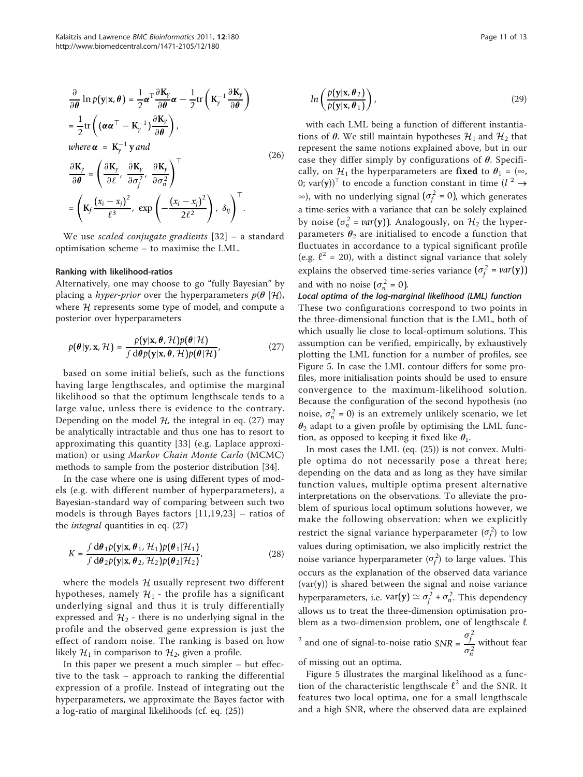$$
\frac{\partial}{\partial \theta} \ln p(\mathbf{y}|\mathbf{x}, \theta) = \frac{1}{2} \alpha^{\mathrm{T}} \frac{\partial \mathbf{K}_{y}}{\partial \theta} \alpha - \frac{1}{2} \text{tr} \left( \mathbf{K}_{y}^{-1} \frac{\partial \mathbf{K}_{y}}{\partial \theta} \right)
$$
\n
$$
= \frac{1}{2} \text{tr} \left( (\alpha \alpha^{\mathrm{T}} - \mathbf{K}_{y}^{-1}) \frac{\partial \mathbf{K}_{y}}{\partial \theta} \right),
$$
\nwhere  $\alpha = \mathbf{K}_{y}^{-1} \mathbf{y}$  and\n
$$
\frac{\partial \mathbf{K}_{y}}{\partial \theta} = \left( \frac{\partial \mathbf{K}_{y}}{\partial \ell}, \frac{\partial \mathbf{K}_{y}}{\partial \sigma_{f}^{2}}, \frac{\partial \mathbf{K}_{y}}{\partial \sigma_{n}^{2}} \right)^{\mathrm{T}}
$$
\n
$$
= \left( \mathbf{K}_{f} \frac{(x_{i} - x_{j})^{2}}{\ell^{3}}, \exp \left( -\frac{(x_{i} - x_{j})^{2}}{2\ell^{2}} \right), \delta_{ij} \right)^{\mathrm{T}}.
$$
\n(26)

We use scaled conjugate gradients [\[32](#page-12-0)] – a standard optimisation scheme – to maximise the LML.

#### Ranking with likelihood-ratios

Alternatively, one may choose to go "fully Bayesian" by placing a *hyper-prior* over the hyperparameters  $p(\theta | \mathcal{H})$ , where *H* represents some type of model, and compute a posterior over hyperparameters

$$
p(\theta | \mathbf{y}, \mathbf{x}, \mathcal{H}) = \frac{p(\mathbf{y} | \mathbf{x}, \theta, \mathcal{H}) p(\theta | \mathcal{H})}{\int d\theta p(\mathbf{y} | \mathbf{x}, \theta, \mathcal{H}) p(\theta | \mathcal{H})},
$$
(27)

based on some initial beliefs, such as the functions having large lengthscales, and optimise the marginal likelihood so that the optimum lengthscale tends to a large value, unless there is evidence to the contrary. Depending on the model  $H$ , the integral in eq. (27) may be analytically intractable and thus one has to resort to approximating this quantity [[33](#page-12-0)] (e.g. Laplace approximation) or using Markov Chain Monte Carlo (MCMC) methods to sample from the posterior distribution [[34](#page-12-0)].

In the case where one is using different types of models (e.g. with different number of hyperparameters), a Bayesian-standard way of comparing between such two models is through Bayes factors [\[11,19](#page-11-0),[23](#page-11-0)] – ratios of the integral quantities in eq. (27)

$$
K = \frac{\int d\theta_1 p(\mathbf{y}|\mathbf{x}, \theta_1, \mathcal{H}_1) p(\theta_1|\mathcal{H}_1)}{\int d\theta_2 p(\mathbf{y}|\mathbf{x}, \theta_2, \mathcal{H}_2) p(\theta_2|\mathcal{H}_2)},
$$
(28)

where the models *H* usually represent two different hypotheses, namely  $H_1$  - the profile has a significant underlying signal and thus it is truly differentially expressed and  $H_2$  - there is no underlying signal in the profile and the observed gene expression is just the effect of random noise. The ranking is based on how likely  $\mathcal{H}_1$  in comparison to  $\mathcal{H}_2$ , given a profile.

In this paper we present a much simpler – but effective to the task – approach to ranking the differential expression of a profile. Instead of integrating out the hyperparameters, we approximate the Bayes factor with a log-ratio of marginal likelihoods (cf. eq. (25))

$$
ln\left(\frac{p(y|x,\theta_2)}{p(y|x,\theta_1)}\right),\tag{29}
$$

with each LML being a function of different instantiations of  $\theta$ . We still maintain hypotheses  $\mathcal{H}_1$  and  $\mathcal{H}_2$  that represent the same notions explained above, but in our case they differ simply by configurations of  $\theta$ . Specifically, on  $\mathcal{H}_1$  the hyperparameters are fixed to  $\theta_1 = (\infty,$ 0; var(y))<sup>⊤</sup> to encode a function constant in time ( $l^2 \rightarrow$ ∞), with no underlying signal ( $\sigma_f^2$  = 0), which generates a time-series with a variance that can be solely explained by noise  $(\sigma_n^2 = var(y))$ . Analogously, on  $\mathcal{H}_2$  the hyperparameters  $\theta_2$  are initialised to encode a function that fluctuates in accordance to a typical significant profile (e.g.  $\ell^2$  = 20), with a distinct signal variance that solely explains the observed time-series variance  $(\sigma_f^2 = var(y))$ and with no noise  $(\sigma_n^2 = 0)$ .

Local optima of the log-marginal likelihood (LML) function These two configurations correspond to two points in the three-dimensional function that is the LML, both of which usually lie close to local-optimum solutions. This assumption can be verified, empirically, by exhaustively plotting the LML function for a number of profiles, see Figure [5.](#page-8-0) In case the LML contour differs for some profiles, more initialisation points should be used to ensure convergence to the maximum-likelihood solution. Because the configuration of the second hypothesis (no noise,  $\sigma_n^2 = 0$ ) is an extremely unlikely scenario, we let  $\theta_2$  adapt to a given profile by optimising the LML function, as opposed to keeping it fixed like  $\theta_1$ .

In most cases the LML (eq. (25)) is not convex. Multiple optima do not necessarily pose a threat here; depending on the data and as long as they have similar function values, multiple optima present alternative interpretations on the observations. To alleviate the problem of spurious local optimum solutions however, we make the following observation: when we explicitly restrict the signal variance hyperparameter  $(\sigma_f^2)$  to low values during optimisation, we also implicitly restrict the noise variance hyperparameter  $(\sigma_f^2)$  to large values. This occurs as the explanation of the observed data variance (var(y)) is shared between the signal and noise variance hyperparameters, i.e.  $var(y) \simeq \sigma_f^2 + \sigma_n^2$ . This dependency allows us to treat the three-dimension optimisation problem as a two-dimension problem, one of lengthscale  $\ell$ <sup>2</sup> and one of signal-to-noise ratio  $SNR = \frac{\sigma_f^2}{2}$  $\sigma_n^2$ without fear of missing out an optima.

Figure [5](#page-8-0) illustrates the marginal likelihood as a function of the characteristic lengthscale  $\ell^2$  and the SNR. It features two local optima, one for a small lengthscale and a high SNR, where the observed data are explained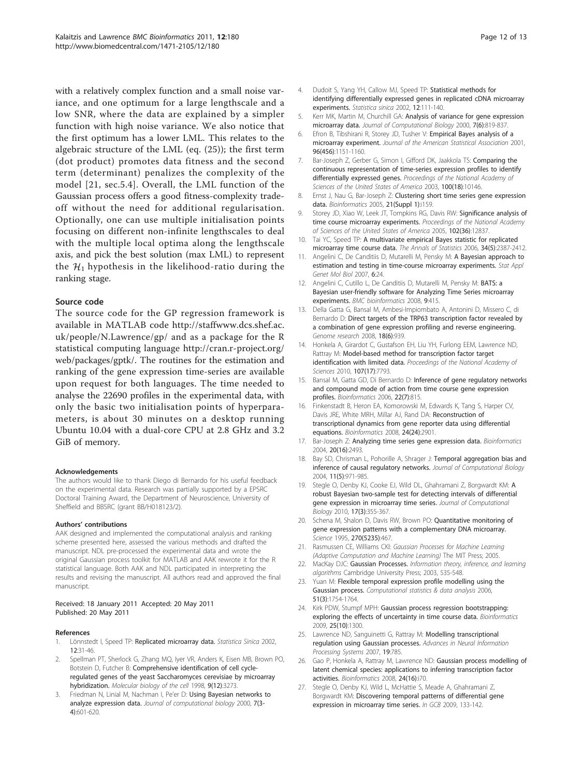<span id="page-11-0"></span>with a relatively complex function and a small noise variance, and one optimum for a large lengthscale and a low SNR, where the data are explained by a simpler function with high noise variance. We also notice that the first optimum has a lower LML. This relates to the algebraic structure of the LML (eq. (25)); the first term (dot product) promotes data fitness and the second term (determinant) penalizes the complexity of the model [21, sec.5.4]. Overall, the LML function of the Gaussian process offers a good fitness-complexity tradeoff without the need for additional regularisation. Optionally, one can use multiple initialisation points focusing on different non-infinite lengthscales to deal with the multiple local optima along the lengthscale axis, and pick the best solution (max LML) to represent the  $H_1$  hypothesis in the likelihood-ratio during the ranking stage.

## Source code

The source code for the GP regression framework is available in MATLAB code [http://staffwww.dcs.shef.ac.](http://staffwww.dcs.shef.ac.uk/people/N.Lawrence/gp/) [uk/people/N.Lawrence/gp/](http://staffwww.dcs.shef.ac.uk/people/N.Lawrence/gp/) and as a package for the R statistical computing language [http://cran.r-project.org/](http://cran.r-project.org/web/packages/gptk/) [web/packages/gptk/.](http://cran.r-project.org/web/packages/gptk/) The routines for the estimation and ranking of the gene expression time-series are available upon request for both languages. The time needed to analyse the 22690 profiles in the experimental data, with only the basic two initialisation points of hyperparameters, is about 30 minutes on a desktop running Ubuntu 10.04 with a dual-core CPU at 2.8 GHz and 3.2 GiB of memory.

#### Acknowledgements

The authors would like to thank Diego di Bernardo for his useful feedback on the experimental data. Research was partially supported by a EPSRC Doctoral Training Award, the Department of Neuroscience, University of Sheffield and BBSRC (grant BB/H018123/2).

#### Authors' contributions

AAK designed and implemented the computational analysis and ranking scheme presented here, assessed the various methods and drafted the manuscript. NDL pre-processed the experimental data and wrote the original Gaussian process toolkit for MATLAB and AAK rewrote it for the R statistical language. Both AAK and NDL participated in interpreting the results and revising the manuscript. All authors read and approved the final manuscript.

#### Received: 18 January 2011 Accepted: 20 May 2011 Published: 20 May 2011

#### References

- 1. Lönnstedt I, Speed TP: Replicated microarray data. Statistica Sinica 2002, 12:31-46.
- 2. Spellman PT, Sherlock G, Zhang MQ, Iyer VR, Anders K, Eisen MB, Brown PO, Botstein D, Futcher B: [Comprehensive identification of cell cycle](http://www.ncbi.nlm.nih.gov/pubmed/9843569?dopt=Abstract)[regulated genes of the yeast Saccharomyces cerevisiae by microarray](http://www.ncbi.nlm.nih.gov/pubmed/9843569?dopt=Abstract) [hybridization.](http://www.ncbi.nlm.nih.gov/pubmed/9843569?dopt=Abstract) Molecular biology of the cell 1998, 9(12):3273.
- 3. Friedman N, Linial M, Nachman I, Pe'er D: [Using Bayesian networks to](http://www.ncbi.nlm.nih.gov/pubmed/11108481?dopt=Abstract) [analyze expression data.](http://www.ncbi.nlm.nih.gov/pubmed/11108481?dopt=Abstract) Journal of computational biology 2000, 7(3-4):601-620.
- 4. Dudoit S, Yang YH, Callow MJ, Speed TP: Statistical methods for identifying differentially expressed genes in replicated cDNA microarray experiments. Statistica sinica 2002, 12:111-140.
- 5. Kerr MK, Martin M, Churchill GA: [Analysis of variance for gene expression](http://www.ncbi.nlm.nih.gov/pubmed/11382364?dopt=Abstract) [microarray data.](http://www.ncbi.nlm.nih.gov/pubmed/11382364?dopt=Abstract) Journal of Computational Biology 2000, 7(6):819-837.
- 6. Efron B, Tibshirani R, Storey JD, Tusher V: Empirical Bayes analysis of a microarray experiment. Journal of the American Statistical Association 2001, 96(456):1151-1160.
- 7. Bar-Joseph Z, Gerber G, Simon I, Gifford DK, Jaakkola TS: [Comparing the](http://www.ncbi.nlm.nih.gov/pubmed/12934016?dopt=Abstract) [continuous representation of time-series expression profiles to identify](http://www.ncbi.nlm.nih.gov/pubmed/12934016?dopt=Abstract) [differentially expressed genes.](http://www.ncbi.nlm.nih.gov/pubmed/12934016?dopt=Abstract) Proceedings of the National Academy of Sciences of the United States of America 2003, 100(18):10146.
- 8. Ernst J, Nau G, Bar-Joseph Z: [Clustering short time series gene expression](http://www.ncbi.nlm.nih.gov/pubmed/15961453?dopt=Abstract) [data.](http://www.ncbi.nlm.nih.gov/pubmed/15961453?dopt=Abstract) Bioinformatics 2005, 21(Suppl 1):i159.
- 9. Storey JD, Xiao W, Leek JT, Tompkins RG, Davis RW: [Significance analysis of](http://www.ncbi.nlm.nih.gov/pubmed/16141318?dopt=Abstract) [time course microarray experiments.](http://www.ncbi.nlm.nih.gov/pubmed/16141318?dopt=Abstract) Proceedings of the National Academy of Sciences of the United States of America 2005, 102(36):12837.
- 10. Tai YC, Speed TP: A multivariate empirical Bayes statistic for replicated microarray time course data. The Annals of Statistics 2006, 34(5):2387-2412.
- 11. Angelini C, De Canditiis D, Mutarelli M, Pensky M: A Bayesian approach to estimation and testing in time-course microarray experiments. Stat Appl Genet Mol Biol 2007, 6:24.
- 12. Angelini C, Cutillo L, De Canditiis D, Mutarelli M, Pensky M: [BATS: a](http://www.ncbi.nlm.nih.gov/pubmed/18837969?dopt=Abstract) [Bayesian user-friendly software for Analyzing Time Series microarray](http://www.ncbi.nlm.nih.gov/pubmed/18837969?dopt=Abstract) [experiments.](http://www.ncbi.nlm.nih.gov/pubmed/18837969?dopt=Abstract) BMC bioinformatics 2008, 9:415.
- 13. Della Gatta G, Bansal M, Ambesi-Impiombato A, Antonini D, Missero C, di Bernardo D: [Direct targets of the TRP63 transcription factor revealed by](http://www.ncbi.nlm.nih.gov/pubmed/18441228?dopt=Abstract) [a combination of gene expression profiling and reverse engineering.](http://www.ncbi.nlm.nih.gov/pubmed/18441228?dopt=Abstract) Genome research 2008, 18(6):939.
- 14. Honkela A, Girardot C, Gustafson EH, Liu YH, Furlong EEM, Lawrence ND, Rattray M: Model-based method for transcription factor target identification with limited data. Proceedings of the National Academy of Sciences 2010, 107(17):7793.
- 15. Bansal M, Gatta GD, Di Bernardo D: [Inference of gene regulatory networks](http://www.ncbi.nlm.nih.gov/pubmed/16418235?dopt=Abstract) [and compound mode of action from time course gene expression](http://www.ncbi.nlm.nih.gov/pubmed/16418235?dopt=Abstract) [profiles.](http://www.ncbi.nlm.nih.gov/pubmed/16418235?dopt=Abstract) Bioinformatics 2006, 22(7):815.
- 16. Finkenstadt B, Heron EA, Komorowski M, Edwards K, Tang S, Harper CV, Davis JRE, White MRH, Millar AJ, Rand DA: [Reconstruction of](http://www.ncbi.nlm.nih.gov/pubmed/18974172?dopt=Abstract) [transcriptional dynamics from gene reporter data using differential](http://www.ncbi.nlm.nih.gov/pubmed/18974172?dopt=Abstract) [equations.](http://www.ncbi.nlm.nih.gov/pubmed/18974172?dopt=Abstract) Bioinformatics 2008, 24(24):2901.
- 17. Bar-Joseph Z: [Analyzing time series gene expression data.](http://www.ncbi.nlm.nih.gov/pubmed/15130923?dopt=Abstract) Bioinformatics 2004, 20(16):2493.
- 18. Bay SD, Chrisman L, Pohorille A, Shrager J: [Temporal aggregation bias and](http://www.ncbi.nlm.nih.gov/pubmed/15700412?dopt=Abstract) [inference of causal regulatory networks.](http://www.ncbi.nlm.nih.gov/pubmed/15700412?dopt=Abstract) Journal of Computational Biology 2004, 11(5):971-985.
- 19. Stegle O, Denby KJ, Cooke EJ, Wild DL, Ghahramani Z, Borgwardt KM: [A](http://www.ncbi.nlm.nih.gov/pubmed/20377450?dopt=Abstract) [robust Bayesian two-sample test for detecting intervals of differential](http://www.ncbi.nlm.nih.gov/pubmed/20377450?dopt=Abstract) [gene expression in microarray time series.](http://www.ncbi.nlm.nih.gov/pubmed/20377450?dopt=Abstract) Journal of Computational Biology 2010, 17(3):355-367.
- 20. Schena M, Shalon D, Davis RW, Brown PO: [Quantitative monitoring of](http://www.ncbi.nlm.nih.gov/pubmed/7569999?dopt=Abstract) [gene expression patterns with a complementary DNA microarray.](http://www.ncbi.nlm.nih.gov/pubmed/7569999?dopt=Abstract) Science 1995, 270(5235):467.
- 21. Rasmussen CE, Williams CKI: Gaussian Processes for Machine Learning (Adaptive Computation and Machine Learning) The MIT Press; 2005.
- 22. MacKay DJC: Gaussian Processes. Information theory, inference, and learning algorithms Cambridge University Press; 2003, 535-548.
- 23. Yuan M: [Flexible temporal expression profile modelling using the](http://www.ncbi.nlm.nih.gov/pubmed/21617730?dopt=Abstract) [Gaussian process.](http://www.ncbi.nlm.nih.gov/pubmed/21617730?dopt=Abstract) Computational statistics & data analysis 2006, 51(3):1754-1764.
- 24. Kirk PDW, Stumpf MPH: [Gaussian process regression bootstrapping:](http://www.ncbi.nlm.nih.gov/pubmed/19289448?dopt=Abstract) [exploring the effects of uncertainty in time course data.](http://www.ncbi.nlm.nih.gov/pubmed/19289448?dopt=Abstract) Bioinformatics 2009, 25(10):1300.
- 25. Lawrence ND, Sanguinetti G, Rattray M: Modelling transcriptional regulation using Gaussian processes. Advances in Neural Information Processing Systems 2007, 19:785.
- 26. Gao P, Honkela A, Rattray M, Lawrence ND: [Gaussian process modelling of](http://www.ncbi.nlm.nih.gov/pubmed/18689843?dopt=Abstract) [latent chemical species: applications to inferring transcription factor](http://www.ncbi.nlm.nih.gov/pubmed/18689843?dopt=Abstract) [activities.](http://www.ncbi.nlm.nih.gov/pubmed/18689843?dopt=Abstract) Bioinformatics 2008, 24(16):i70.
- 27. Stegle O, Denby KJ, Wild L, McHattie S, Meade A, Ghahramani Z, Borgwardt KM: Discovering temporal patterns of differential gene expression in microarray time series. In GCB 2009, 133-142.